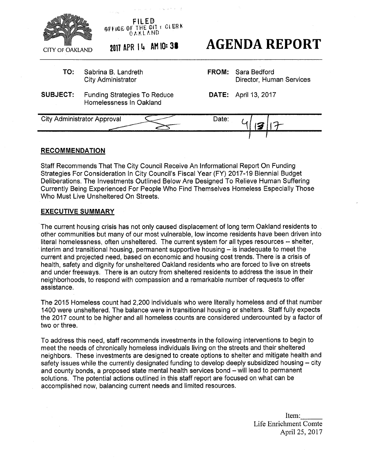

## **RECOMMENDATION**

Staff Recommends That The City Council Receive An Informational Report On Funding Strategies For Consideration In City Council's Fiscal Year (FY) 2017-19 Biennial Budget Deliberations. The Investments Outlined Below Are Designed To Relieve Human Suffering Currently Being Experienced For People Who Find Themselves Homeless Especially Those Who Must Live Unsheltered On Streets.

#### **EXECUTIVE SUMMARY**

The current housing crisis has not only caused displacement of long term Oakland residents to other communities but many of our most vulnerable, low income residents have been driven into literal homelessness, often unsheltered. The current system for all types resources -- shelter, interim and transitional housing, permanent supportive housing  $-$  is inadequate to meet the current and projected need, based on economic and housing cost trends. There is a crisis of health, safety and dignity for unsheltered Oakland residents who are forced to live on streets and under freeways. There is an outcry from sheltered residents to address the issue in their neighborhoods, to respond with compassion and a remarkable number of requests to offer assistance.

The 2015 Homeless count had 2,200 individuals who were literally homeless and of that number 1400 were unsheltered. The balance were in transitional housing or shelters. Staff fully expects the 2017 count to be higher and all homeless counts are considered undercounted by a factor of two or three.

To address this need, staff recommends investments in the following interventions to begin to meet the needs of chronically homeless individuals living on the streets and their sheltered neighbors. These investments are designed to create options to shelter and mitigate health and safety issues while the currently designated funding to develop deeply subsidized housing – city and county bonds, a proposed state mental health services bond - will lead to permanent solutions. The potential actions outlined in this staff report are focused on what can be accomplished now, balancing current needs and limited resources.

> Item: Life Enrichment Comte April 25,2017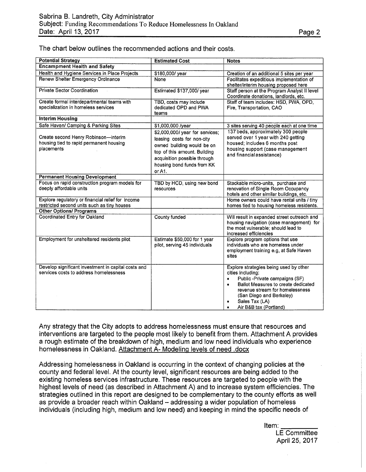| <b>Potential Strategy</b>                                                                        | <b>Estimated Cost</b>                                                                                                                                                                               | <b>Notes</b>                                                                                                                                                                                                                                                           |
|--------------------------------------------------------------------------------------------------|-----------------------------------------------------------------------------------------------------------------------------------------------------------------------------------------------------|------------------------------------------------------------------------------------------------------------------------------------------------------------------------------------------------------------------------------------------------------------------------|
| <b>Encampment Health and Safety</b>                                                              |                                                                                                                                                                                                     |                                                                                                                                                                                                                                                                        |
| Health and Hygiene Services in Place Projects                                                    | \$180,000/year                                                                                                                                                                                      | Creation of an additional 5 sites per year                                                                                                                                                                                                                             |
| Renew Shelter Emergency Ordinance                                                                | <b>None</b>                                                                                                                                                                                         | Facilitates expeditious implementation of<br>shelter/interim housing proposed here                                                                                                                                                                                     |
| <b>Private Sector Coordination</b>                                                               | Estimated \$137,000/year                                                                                                                                                                            | Staff person at the Program Analyst II level<br>Coordinate donations, landlords, etc.                                                                                                                                                                                  |
| Create formal interdepartmental teams with<br>specialization in homeless services                | TBD, costs may include<br>dedicated OPD and PWA<br>teams                                                                                                                                            | Staff of team includes: HSD, PWA, OPD,<br>Fire, Transportation, CAO                                                                                                                                                                                                    |
| <b>Interim Housing</b>                                                                           |                                                                                                                                                                                                     |                                                                                                                                                                                                                                                                        |
| Safe Haven/ Camping & Parking Sites                                                              | \$1,000,000 /year                                                                                                                                                                                   | 3 sites serving 40 people each at one time                                                                                                                                                                                                                             |
| Create second Henry Robinson-interim<br>housing tied to rapid permanent housing<br>placements    | \$2,000,000/ year for services;<br>leasing costs for non-city<br>owned building would be on<br>top of this amount. Building<br>acquisition possible through<br>housing bond funds from KK<br>or A1. | 137 beds, approximately 300 people<br>served over 1 year with 240 getting<br>housed; includes 6 months post<br>housing support (case management<br>and financial assistance)                                                                                           |
| <b>Permanent Housing Development</b>                                                             |                                                                                                                                                                                                     |                                                                                                                                                                                                                                                                        |
| Focus on rapid construction program models for<br>deeply affordable units                        | TBD by HCD, using new bond<br>resources                                                                                                                                                             | Stackable micro-units, purchase and<br>renovation of Single Room Occupancy<br>hotels and other similar buildings, etc.                                                                                                                                                 |
| Explore regulatory or financial relief for income<br>restricted second units such as tiny houses |                                                                                                                                                                                                     | Home owners could have rental units / tiny<br>homes tied to housing homeless residents.                                                                                                                                                                                |
| <b>Other Options/ Programs</b>                                                                   |                                                                                                                                                                                                     |                                                                                                                                                                                                                                                                        |
| <b>Coordinated Entry for Oakland</b>                                                             | County funded                                                                                                                                                                                       | Will result in expanded street outreach and<br>housing navigation (case management) for<br>the most vulnerable; should lead to<br>increased efficiencies                                                                                                               |
| Employment for unsheltered residents pilot                                                       | Estimate \$50,000 for 1 year<br>pilot, serving 45 individuals                                                                                                                                       | Explore program options that use<br>individuals who are homeless under<br>employment training e.g, at Safe Haven<br>sites                                                                                                                                              |
| Develop significant investment in capital costs and<br>services costs to address homelessness    |                                                                                                                                                                                                     | Explore strategies being used by other<br>cities including:<br>Public -Private campaigns (SF)<br>$\bullet$<br>Ballot Measures to create dedicated<br>٠<br>revenue stream for homelessness<br>(San Diego and Berkeley)<br>Sales Tax (LA)<br>٠<br>Air B&B tax (Portland) |

The chart below outlines the recommended actions and their costs.

Any strategy that the City adopts to address homelessness must ensure that resources and interventions are targeted to the people most likely to benefit from them. Attachment A provides a rough estimate of the breakdown of high, medium and low need individuals who experience homelessness in Oakland. Attachment A- Modeling levels of need .docx

Addressing homelessness in Oakland is occurring in the context of changing policies at the county and federal level. At the county level, significant resources are being added to the existing homeless services infrastructure. These resources are targeted to people with the highest levels of need (as described in Attachment A) and to increase system efficiencies. The strategies outlined in this report are designed to be complementary to the county efforts as well as provide a broader reach within Oakland - addressing a wider population of homeless individuals (including high, medium and low need) and keeping in mind the specific needs of

Item:

LE Committee April 25, 2017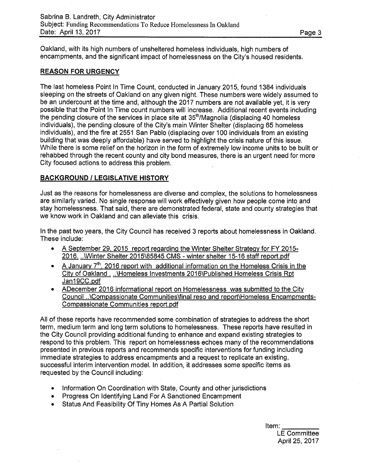Oakland, with its high numbers of unsheltered homeless individuals, high numbers of encampments, and the significant impact of homelessness on the City's housed residents.

## **REASON FOR URGENCY**

The last homeless Point In Time Count, conducted in January 2015, found 1384 individuals sleeping on the streets of Oakland on any given night. These numbers were widely assumed to be an undercount at the time and, although the 2017 numbers are not available yet, it is very possible that the Point In Time count numbers will increase. Additional recent events including the pending closure of the services in place site at  $35<sup>th</sup>/Magnolia$  (displacing 40 homeless individuals), the pending closure of the City's main Winter Shelter (displacing 65 homeless individuals), and the fire at 2551 San Pablo (displacing over 100 individuals from an existing building that was deeply affordable) have served to highlight the crisis nature of this issue. While there is some relief on the horizon in the form of extremely low income units to be built or rehabbed through the recent county and city bond measures, there is an urgent need for more City focused actions to address this problem.

## **BACKGROUND** *I* **LEGISLATIVE HISTORY**

Just as the reasons for homelessness are diverse and complex, the solutions to homelessness are similarly varied. No single response will work effectively given how people come into and stay homelessness. That said, there are demonstrated federal, state and county strategies that we know work in Oakland and can alleviate this crisis.

In the past two years, the City Council has received 3 reports about homelessness in Oakland. These include:

- A September 29, 2015 report regarding the Winter Shelter Strategy for FY 2015-2016. .AWinter Shelter 2015\85845 CMS - winter shelter 15-16 staff report.pdf
- A January 7<sup>th</sup>, 2016 report with additional information on the Homeless Crisis in the City of Oakland . ..\Homeless Investments 2016\Published Homeless Crisis Rpt Jan19CC.pdf
- ADecember 2016 informational report on Homelessness was submitted to the City Council ..\Compassionate Communities\final reso and report\Homeless Encampments-Compassionate Communities report.pdf

All of these reports have recommended some combination of strategies to address the short term, medium term and long term solutions to homelessness. These reports have resulted in the City Council providing additional funding to enhance and expand existing strategies to respond to this problem. This report on homelessness echoes many of the recommendations presented in previous reports and recommends specific interventions for funding including immediate strategies to address encampments and a request to replicate an existing, successful interim intervention model. In addition, it addresses some specific items as requested by the Council including:

- Information On Coordination with State, County and other jurisdictions
- Progress On Identifying Land For A Sanctioned Encampment
- Status And Feasibility Of Tiny Homes As A Partial Solution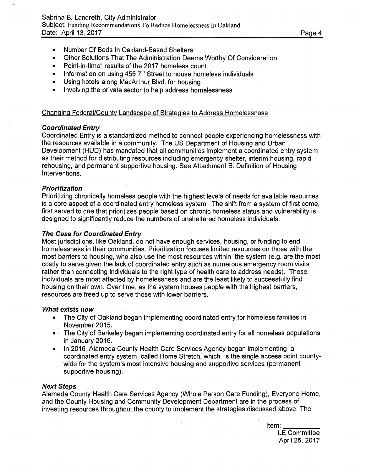- Number Of Beds In Oakland-Based Shelters
- Other Solutions That The Administration Deems Worthy Of Consideration
- Point-in-time" results of the 2017 homeless count
- Information on using  $4557<sup>th</sup>$  Street to house homeless individuals
- Using hotels along MacArthur Blvd. for housing
- Involving the private sector to help address homelessness

## Changing Federal/County Landscape of Strategies to Address Homelessness

## *Coordinated Entry*

Coordinated Entry is a standardized method to connect people experiencing homelessness with the resources available in a community. The US Department of Housing and Urban Development (HUD) has mandated that all communities implement a coordinated entry system as their method for distributing resources including emergency shelter, interim housing, rapid rehousing, and permanent supportive housing. See Attachment B: Definition of Housing Interventions.

## *Prioritization*

Prioritizing chronically homeless people with the highest levels of needs for available resources is a core aspect of a coordinated entry homeless system. The shift from a system of first come, first served to one that prioritizes people based on chronic homeless status and vulnerability is designed to significantly reduce the numbers of unsheltered homeless individuals.

## *The Case for Coordinated Entry*

Most jurisdictions, like Oakland, do not have enough services, housing, or funding to end homelessness in their communities. Prioritization focuses limited resources on those with the most barriers to housing, who also use the most resources within the system (e.g. are the most costly to serve given the lack of coordinated entry such as numerous emergency room visits rather than connecting individuals to the right type of health care to address needs). These individuals are most affected by homelessness and are the least likely to successfully find housing on their own. Over time, as the system houses people with the highest barriers, resources are freed up to serve those with lower barriers.

## *What exists now*

- The City of Oakland began implementing coordinated entry for homeless families in November 2015.
- The City of Berkeley began implementing coordinated entry for all homeless populations in January 2016.
- In 2016, Alameda County Health Care Services Agency began implementing a coordinated entry system, called Home Stretch, which is the single access point countywide for the system's most intensive housing and supportive services (permanent supportive housing).

## *Next Steps*

Alameda County Health Care Services Agency (Whole Person Care Funding), Everyone Home, and the County Housing and Community Development Department are in the process of investing resources throughout the county to implement the strategies discussed above. The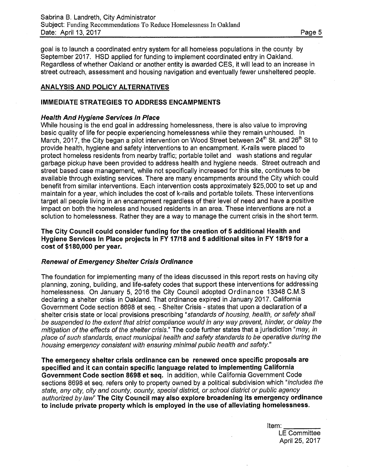goal is to launch a coordinated entry system for all homeless populations in the county by September 2017. HSD applied for funding to implement coordinated entry in Oakland. Regardless of whether Oakland or another entity is awarded CES, it will lead to an increase in street outreach, assessment and housing navigation and eventually fewer unsheltered people.

## **ANALYSIS AND POLICY ALTERNATIVES**

### **IMMEDIATE STRATEGIES TO ADDRESS ENCAMPMENTS**

#### *Health And Hygiene Services In Place*

While housing is the end goal in addressing homelessness, there is also value to improving basic quality of life for people experiencing homelessness while they remain unhoused. In March, 2017, the City began a pilot intervention on Wood Street between 24<sup>th</sup> St. and 26<sup>th</sup> St to provide health, hygiene and safety interventions to an encampment. K-rails were placed to protect homeless residents from nearby traffic; portable toilet and wash stations and regular garbage pickup have been provided to address health and hygiene needs. Street outreach and street based case management, while not specifically increased for this site, continues to be available through existing services. There are many encampments around the City which could benefit from similar interventions. Each intervention costs approximately \$25,000 to set up and maintain for a year, which includes the cost of k-rails and portable toilets. These interventions target all people living in an encampment regardless of their level of need and have a positive impact on both the homeless and housed residents in an area. These interventions are not a solution to homelessness. Rather they are a way to manage the current crisis in the short term.

**The City Council could consider funding for the creation of 5 additional Health and Hygiene Services In Place projects in FY 17/18 and 5 additional sites in FY 18/19 for a cost of \$180,000 per year.** 

## *Renewal of Emergency Shelter Crisis Ordinance*

The foundation for implementing many of the ideas discussed in this report rests on having city planning, zoning, building, and life-safety codes that support these interventions for addressing homelessness. On January 5, 2016 the City Council adopted Ordinance 13348 C.M.S declaring a shelter crisis in Oakland. That ordinance expired in January 2017. California Government Code section 8698 et seq. - Shelter Crisis - states that upon a declaration of a shelter crisis state or local provisions prescribing *"standards of housing, health, or safety shall be suspended to the extent that strict compliance would in any way prevent, hinder, or delay the mitigation of the effects of the shelter crisis."* The code further states that a jurisdiction *"may, in place of such standards, enact municipal health and safety standards to be operative during the housing emergency consistent with ensuring minimal public health and safety."* 

**The emergency shelter crisis ordinance can be renewed once specific proposals are specified and it can contain specific language related to implementing California Government Code section 8698 et seq.** In addition, while California Government Code sections 8698 et seq. refers only to property owned by a political subdivision which *"includes the state, any city, city and county, county, special district, or school district or public agency authorized bylaw"* **The City Council may also explore broadening its emergency ordinance to include private property which is employed in the use of alleviating homelessness.**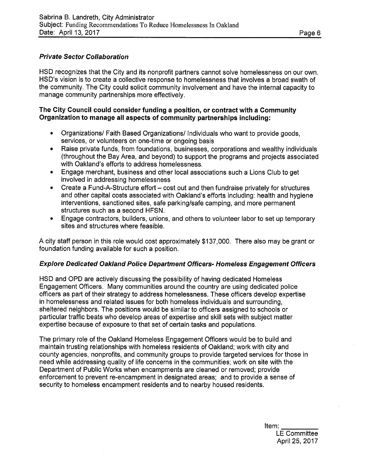# *Private Sector Collaboration*

HSD recognizes that the City and its nonprofit partners cannot solve homelessness on our own. HSD's vision is to create a collective response to homelessness that involves a broad swath of the community. The City could solicit community involvement and have the internal capacity to manage community partnerships more effectively.

## **The City Council could consider funding a position, or contract with a Community Organization to manage all aspects of community partnerships including:**

- Organizations/ Faith Based Organizations/ Individuals who want to provide goods, services, or volunteers on one-time or ongoing basis
- Raise private funds, from foundations, businesses, corporations and wealthy individuals (throughout the Bay Area, and beyond) to support the programs and projects associated with Oakland's efforts to address homelessness.
- Engage merchant, business and other local associations such a Lions Club to get involved in addressing homelessness
- Create a Fund-A-Structure effort cost out and then fundraise privately for structures and other capital costs associated with Oakland's efforts including: health and hygiene interventions, sanctioned sites, safe parking/safe camping, and more permanent structures such as a second HFSN.
- Engage contractors, builders, unions, and others to volunteer labor to set up temporary sites and structures where feasible.

A city staff person in this role would cost approximately \$137,000. There also may be grant or foundation funding available for such a position.

## *Explore Dedicated Oakland Police Department Officers- Homeless Engagement Officers*

HSD and OPD are actively discussing the possibility of having dedicated Homeless Engagement Officers. Many communities around the country are using dedicated police officers as part of their strategy to address homelessness. These officers develop expertise in homelessness and related issues for both homeless individuals and surrounding, sheltered neighbors. The positions would be similar to officers assigned to schools or particular traffic beats who develop areas of expertise and skill sets with subject matter expertise because of exposure to that set of certain tasks and populations.

The primary role of the Oakland Homeless Engagement Officers would be to build and maintain trusting relationships with homeless residents of Oakland; work with city and county agencies, nonprofits, and community groups to provide targeted services for those in need while addressing quality of life concerns in the communities; work on site with the Department of Public Works when encampments are cleaned or removed; provide enforcement to prevent re-encampment in designated areas; and to provide a sense of security to homeless encampment residents and to nearby housed residents.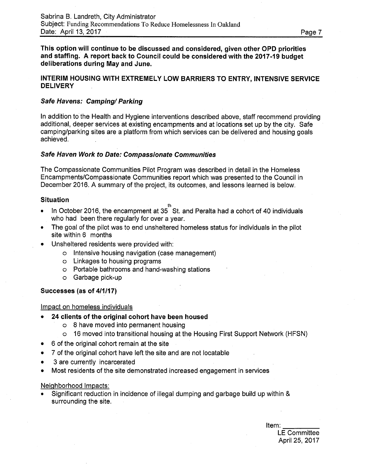**This option will continue to be discussed and considered, given other OPD priorities and staffing. A report back to Council could be considered with the 2017-19 budget deliberations during May and June.** 

## **INTERIM HOUSING WITH EXTREMELY LOW BARRIERS TO ENTRY, INTENSIVE SERVICE DELIVERY**

## *Safe Havens: Camping/ Parking*

In addition to the Health and Hygiene interventions described above, staff recommend providing additional, deeper services at existing encampments and at locations set up by the city. Safe camping/parking sites are a platform from which services can be delivered and housing goals achieved.

## *Safe Haven Work to Date: Compassionate Communities*

The Compassionate Communities Pilot Program was described in detail in the Homeless Encampments/Compassionate Communities report which was presented to the Council in December 2016. A summary of the project, its outcomes, and lessons learned is below.

### **Situation**

- 
- In October 2016, the encampment at 35<sup>th</sup> St. and Peralta had a cohort of 40 individuals who had been there regularly for over a year.
- The goal of the pilot was to end unsheltered homeless status for individuals in the pilot site within 6 months
- Unsheltered residents were provided with:
	- o Intensive housing navigation (case management)
	- o Linkages to housing programs
	- o Portable bathrooms and hand-washing stations
	- o Garbage pick-up

## **Successes (as of 4/1/17)**

#### Impact on homeless individuals

- **24 clients of the original cohort have been housed** 
	- o 8 have moved into permanent housing
	- o 16 moved into transitional housing at the Housing First Support Network (HFSN)
- 6 of the original cohort remain at the site
- 7 of the original cohort have left the site and are not locatable
- 3 are currently incarcerated
- Most residents of the site demonstrated increased engagement in services

#### Neighborhood Impacts:

• Significant reduction in incidence of illegal dumping and garbage build up within & surrounding the site.

Item: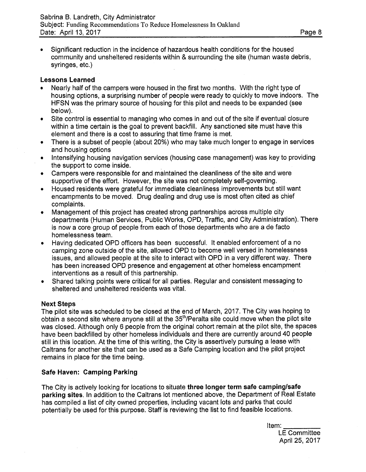• Significant reduction in the incidence of hazardous health conditions for the housed community and unsheltered residents within & surrounding the site (human waste debris, syringes, etc.)

## **Lessons Learned**

- Nearly half of the campers were housed in the first two months. With the right type of housing options, a surprising number of people were ready to quickly to move indoors. The HFSN was the primary source of housing for this pilot and needs to be expanded (see below).
- Site control is essential to managing who comes in and out of the site if eventual closure within a time certain is the goal to prevent backfill. Any sanctioned site must have this element and there is a cost to assuring that time frame is met.
- There is a subset of people (about 20%) who may take much longer to engage in services and housing options
- Intensifying housing navigation services (housing case management) was key to providing the support to come inside.
- Campers were responsible for and maintained the cleanliness of the site and were supportive of the effort. However, the site was not completely self-governing.
- Housed residents were grateful for immediate cleanliness improvements but still want encampments to be moved. Drug dealing and drug use is most often cited as chief complaints.
- Management of this project has created strong partnerships across multiple city departments (Human Services, Public Works, OPD, Traffic, and City Administration). There is now a core group of people from each of those departments who are a de facto homelessness team.
- Having dedicated OPD officers has been successful. It enabled enforcement of a no camping zone outside of the site, allowed OPD to become well versed in homelessness issues, and allowed people at the site to interact with OPD in a very different way. There has been increased OPD presence and engagement at other homeless encampment interventions as a result of this partnership.
- Shared talking points were critical for all parties. Regular and consistent messaging to sheltered and unsheltered residents was vital.

## **Next Steps**

The pilot site was scheduled to be closed at the end of March, 2017. The City was hoping to obtain a second site where anyone still at the 35<sup>th</sup>/Peralta site could move when the pilot site was closed. Although only 6 people from the original cohort remain at the pilot site, the spaces have been backfilled by other homeless individuals and there are currently around 40 people still in this location. At the time of this writing, the City is assertively pursuing a lease with Caltrans for another site that can be used as a Safe Camping location and the pilot project remains in place for the time being.

## **Safe Haven: Camping Parking**

The City is actively looking for locations to situate **three longer term safe camping/safe parking sites.** In addition to the Caltrans lot mentioned above, the Department of Real Estate has compiled a list of city owned properties, including vacant lots and parks that could potentially be used for this purpose. Staff is reviewing the list to find feasible locations.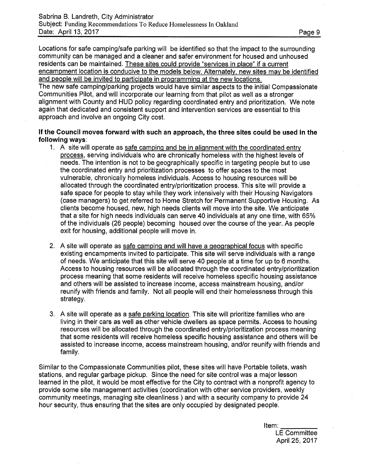Locations for safe camping/safe parking will be identified so that the impact to the surrounding community can be managed and a cleaner and safer environment for housed and unhoused residents can be maintained. These sites could provide "services in place" if a current encampment location is conducive to the models below. Alternately, new sites may be identified and people will be invited to participate in programming at the new locations.

The new safe camping/parking projects would have similar aspects to the initial Compassionate Communities Pilot, and will incorporate our learning from that pilot as well as a stronger alignment with County and HUD policy regarding coordinated entry and prioritization. We note again that dedicated and consistent support and intervention services are essential to this approach and involve an ongoing City cost.

## **If the Council moves forward with such an approach, the three sites could be used in the following ways:**

- 1. A site will operate as safe camping and be in alignment with the coordinated entry process, serving individuals who are chronically homeless with the highest levels of needs. The intention is not to be geographically specific in targeting people but to use the coordinated entry and prioritization processes to offer spaces to the most vulnerable, chronically homeless individuals. Access to housing resources will be allocated through the coordinated entry/prioritization process. This site will provide a safe space for people to stay while they work intensively with their Housing Navigators (case managers) to get referred to Home Stretch for Permanent Supportive Housing. As clients become housed, new, high needs clients will move into the site. We anticipate that a site for high needs individuals can serve 40 individuals at any one time, with 65% of the individuals (26 people) becoming housed over the course of the year. As people exit for housing, additional people will move in.
- 2. A site will operate as safe camping and will have a geographical focus with specific existing encampments invited to participate. This site will serve individuals with a range of needs. We anticipate that this site will serve 40 people at a time for up to 6 months. Access to housing resources will be allocated through the coordinated entry/prioritization process meaning that some residents will receive homeless specific housing assistance and others will be assisted to increase income, access mainstream housing, and/or reunify with friends and family. Not all people will end their homelessness through this strategy.
- 3. A site will operate as a safe parking location. This site will prioritize families who are living in their cars as well as other vehicle dwellers as space permits. Access to housing resources will be allocated through the coordinated entry/prioritization process meaning that some residents will receive homeless specific housing assistance and others will be assisted to increase income, access mainstream housing, and/or reunify with friends and family.

Similar to the Compassionate Communities pilot, these sites will have Portable toilets, wash stations, and regular garbage pickup. Since the need for site control was a major lesson learned in the pilot, it would be most effective for the City to contract with a nonprofit agency to provide some site management activities (coordination with other service providers, weekly community meetings, managing site cleanliness ) and with a security company to provide 24 hour security, thus ensuring that the sites are only occupied by designated people.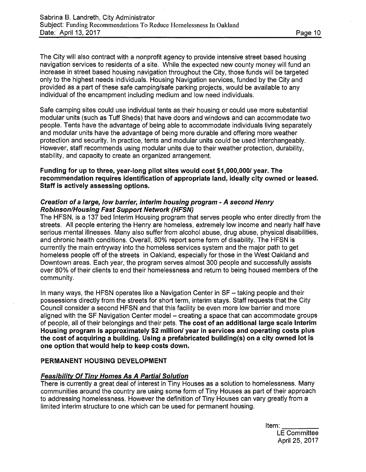The City will also contract with a nonprofit agency to provide intensive street based housing navigation services to residents of a site. While the expected new county money will fund an increase in street based housing navigation throughout the City, those funds will be targeted only to the highest needs individuals. Housing Navigation services, funded by the City and provided as a part of these safe camping/safe parking projects, would be available to any individual of the encampment including medium and low need individuals.

Safe camping sites could use individual tents as their housing or could use more substantial modular units (such as Tuff Sheds) that have doors and windows and can accommodate two people. Tents have the advantage of being able to accommodate individuals living separately and modular units have the advantage of being more durable and offering more weather protection and security. In practice, tents and modular units could be used interchangeably. However, staff recommends using modular units due to their weather protection, durability, stability, and capacity to create an organized arrangement.

**Funding for up to three, year-long pilot sites would cost \$1,000,000/ year. The recommendation requires identification of appropriate land, ideally city owned or leased. Staff is actively assessing options.** 

### *Creation of a large, low barrier, interim housing program - A second Henry Robinson/Housing Fast Support Network (HFSN)*

The HFSN, is a 137 bed Interim Housing program that serves people who enter directly from the streets. All people entering the Henry are homeless, extremely low income and nearly half have serious mental illnesses. Many also suffer from alcohol abuse, drug abuse, physical disabilities, and chronic health conditions. Overall, 80% report some form of disability. The HFSN is currently the main entryway into the homeless services system and the major path to get homeless people off of the streets in Oakland, especially for those in the West Oakland and Downtown areas. Each year, the program serves almost 300 people and successfully assists over 80% of their clients to end their homelessness and return to being housed members of the community.

In many ways, the HFSN operates like a Navigation Center in SF - taking people and their possessions directly from the streets for short term, interim stays. Staff requests that the City Council consider a second HFSN and that this facility be even more low barrier and more aligned with the SF Navigation Center model - creating a space that can accommodate groups of people, all of their belongings and their pets. **The cost of an additional large scale Interim Housing program is approximately \$2 million/ year in services and operating costs plus the cost of acquiring a building. Using a prefabricated building(s) on a city owned lot is one option that would help to keep costs down.** 

## **PERMANENT HOUSING DEVELOPMENT**

# *Feasibility Of Tiny Homes As A Partial Solution*

There is currently a great deal of interest in Tiny Houses as a solution to homelessness. Many communities around the country are using some form of Tiny Houses as part of their approach to addressing homelessness. However the definition of Tiny Houses can vary greatly from a limited interim structure to one which can be used for permanent housing.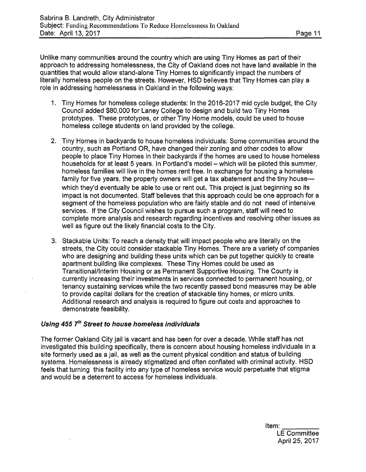Unlike many communities around the country which are using Tiny Homes as part of their approach to addressing homelessness, the City of Oakland does not have land available in the quantities that would allow stand-alone Tiny Homes to significantly impact the numbers of literally homeless people on the streets. However, HSD believes that Tiny Homes can play a role in addressing homelessness in Oakland in the following ways:

- 1. Tiny Homes for homeless college students: In the 2016-2017 mid cycle budget, the City Council added \$80,000 for Laney College to design and build two Tiny Homes prototypes. These prototypes, or other Tiny Home models, could be used to house homeless college students on land provided by the college.
- 2. Tiny Homes in backyards to house homeless individuals: Some communities around the country, such as Portland OR, have changed their zoning and other codes to allow people to place Tiny Homes in their backyards if the homes are used to house homeless households for at least 5 years. In Portland's model - which will be piloted this summer, homeless families will live in the homes rent free. In exchange for housing a homeless family for five years, the property owners will get a tax abatement and the tiny house which they'd eventually be able to use or rent out. This project is just beginning so its impact is not documented. Staff believes that this approach could be one approach for a segment of the homeless population who are fairly stable and do not need of intensive services. If the City Council wishes to pursue such a program, staff will need to complete more analysis and research regarding incentives and resolving other issues as well as figure out the likely financial costs to the City.
- 3. Stackable Units: To reach a density that will impact people who are literally on the streets, the City could consider stackable Tiny Homes. There are a variety of companies who are designing and building these units which can be put together quickly to create apartment building like complexes. These Tiny Homes could be used as Transitional/Interim Housing or as Permanent Supportive Housing. The County is currently increasing their investments in services connected to permanent housing, or tenancy sustaining services while the two recently passed bond measures may be able to provide capital dollars for the creation of stackable tiny homes, or micro units. Additional research and analysis is required to figure out costs and approaches to demonstrate feasibility.

#### Using 455 7<sup>th</sup> Street to house homeless individuals

The former Oakland City jail is vacant and has been for over a decade. While staff has not investigated this building specifically, there is concern about housing homeless individuals in a site formerly used as a jail, as well as the current physical condition and status of building systems. Homelessness is already stigmatized and often conflated with criminal activity. HSD feels that turning this facility into any type of homeless service would perpetuate that stigma and would be a deterrent to access for homeless individuals.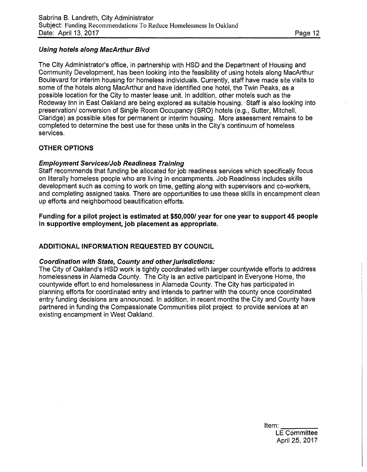## *Using hotels along MacArthur Blvd*

The City Administrator's office, in partnership with HSD and the Department of Housing and Community Development, has been looking into the feasibility of using hotels along MacArthur Boulevard for interim housing for homeless individuals. Currently, staff have made site visits to some of the hotels along MacArthur and have identified one hotel, the Twin Peaks, as a possible location for the City to master lease unit. In addition, other motels such as the Rodeway Inn in East Oakland are being explored as suitable housing. Staff is also looking into preservation/ conversion of Single Room Occupancy (SRO) hotels (e.g., Sutter, Mitchell, Claridge) as possible sites for permanent or interim housing. More assessment remains to be completed to determine the best use for these units in the City's continuum of homeless services.

## **OTHER OPTIONS**

#### *Employment Services/Job Readiness Training*

Staff recommends that funding be allocated for job readiness services which specifically focus on literally homeless people who are living in encampments. Job Readiness includes skills development such as coming to work on time, getting along with supervisors and co-workers, and completing assigned tasks. There are opportunities to use these skills in encampment clean up efforts and neighborhood beautification efforts,

**Funding for a pilot project is estimated at \$50,000/ year for one year to support 45 people in supportive employment, job placement as appropriate.** 

## **ADDITIONAL INFORMATION REQUESTED BY COUNCIL**

#### *Coordination with State, County and other jurisdictions:*

The City of Oakland's HSD work is tightly coordinated with larger countywide efforts to address homelessness in Alameda County. The City is an active participant in Everyone Home, the countywide effort to end homelessness in Alameda County. The City has participated in planning efforts for coordinated entry and intends to partner with the county once coordinated entry funding decisions are announced. In addition, in recent months the City and County have partnered in funding the Compassionate Communities pilot project to provide services at an existing encampment in West Oakland.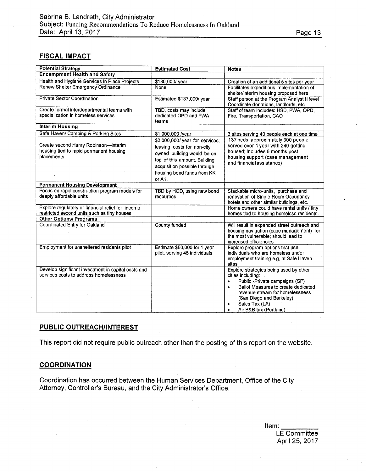## **FISCAL IMPACT**

| <b>Potential Strategy</b>                                                                        | <b>Estimated Cost</b>                                                                                                                                                                               | <b>Notes</b>                                                                                                                                                                                                                                                                   |
|--------------------------------------------------------------------------------------------------|-----------------------------------------------------------------------------------------------------------------------------------------------------------------------------------------------------|--------------------------------------------------------------------------------------------------------------------------------------------------------------------------------------------------------------------------------------------------------------------------------|
| <b>Encampment Health and Safety</b>                                                              |                                                                                                                                                                                                     |                                                                                                                                                                                                                                                                                |
| Health and Hygiene Services in Place Projects                                                    | \$180,000/ year                                                                                                                                                                                     | Creation of an additional 5 sites per year                                                                                                                                                                                                                                     |
| Renew Shelter Emergency Ordinance                                                                | None                                                                                                                                                                                                | Facilitates expeditious implementation of<br>shelter/interim housing proposed here                                                                                                                                                                                             |
| <b>Private Sector Coordination</b>                                                               | Estimated \$137,000/year                                                                                                                                                                            | Staff person at the Program Analyst II level<br>Coordinate donations, landlords, etc.                                                                                                                                                                                          |
| Create formal interdepartmental teams with<br>specialization in homeless services                | TBD, costs may include<br>dedicated OPD and PWA<br>teams                                                                                                                                            | Staff of team includes: HSD, PWA, OPD,<br>Fire, Transportation, CAO                                                                                                                                                                                                            |
| <b>Interim Housing</b>                                                                           |                                                                                                                                                                                                     |                                                                                                                                                                                                                                                                                |
| Safe Haven/ Camping & Parking Sites                                                              | \$1,000,000 /year                                                                                                                                                                                   | 3 sites serving 40 people each at one time                                                                                                                                                                                                                                     |
| Create second Henry Robinson-interim<br>housing tied to rapid permanent housing<br>placements    | \$2,000,000/ year for services;<br>leasing costs for non-city<br>owned building would be on<br>top of this amount. Building<br>acquisition possible through<br>housing bond funds from KK<br>or A1. | 137 beds, approximately 300 people<br>served over 1 year with 240 getting<br>housed; includes 6 months post<br>housing support (case management<br>and financial assistance)                                                                                                   |
| <b>Permanent Housing Development</b>                                                             |                                                                                                                                                                                                     |                                                                                                                                                                                                                                                                                |
| Focus on rapid construction program models for<br>deeply affordable units                        | TBD by HCD, using new bond<br>resources                                                                                                                                                             | Stackable micro-units, purchase and<br>renovation of Single Room Occupancy<br>hotels and other similar buildings, etc.                                                                                                                                                         |
| Explore regulatory or financial relief for income<br>restricted second units such as tiny houses |                                                                                                                                                                                                     | Home owners could have rental units / tiny<br>homes tied to housing homeless residents.                                                                                                                                                                                        |
| <b>Other Options/ Programs</b>                                                                   |                                                                                                                                                                                                     |                                                                                                                                                                                                                                                                                |
| Coordinated Entry for Oakland                                                                    | <b>County funded</b>                                                                                                                                                                                | Will result in expanded street outreach and<br>housing navigation (case management) for<br>the most vulnerable; should lead to<br>increased efficiencies                                                                                                                       |
| Employment for unsheltered residents pilot                                                       | Estimate \$50,000 for 1 year<br>pilot, serving 45 individuals                                                                                                                                       | Explore program options that use<br>individuals who are homeless under<br>employment training e.g. at Safe Haven<br>sites                                                                                                                                                      |
| Develop significant investment in capital costs and<br>services costs to address homelessness    |                                                                                                                                                                                                     | Explore strategies being used by other<br>cities including:<br>Public -Private campaigns (SF)<br>$\bullet$<br>Ballot Measures to create dedicated<br>$\bullet$<br>revenue stream for homelessness<br>(San Diego and Berkeley)<br>Sales Tax (LA)<br>٠<br>Air B&B tax (Portland) |

## **PUBLIC OUTREACH/INTEREST**

This report did not require public outreach other than the posting of this report on the website.

### **COORDINATION**

Coordination has occurred between the Human Services Department, Office of the City Attorney, Controller's Bureau, and the City Administrator's Office.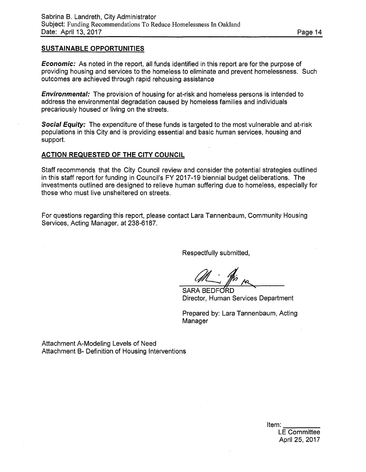## **SUSTAINABLE OPPORTUNITIES**

*Economic:* As noted in the report, all funds identified in this report are for the purpose of providing housing and services to the homeless to eliminate and prevent homelessness. Such outcomes are achieved through rapid rehousing assistance

*Environmental:* The provision of housing for at-risk and homeless persons is intended to address the environmental degradation caused by homeless families and individuals precariously housed or living on the streets.

*Social Equity:* The expenditure of these funds is targeted to the most vulnerable and at-risk populations in this City and is providing essential and basic human services, housing and support.

### **ACTION REQUESTED OF THE CITY COUNCIL**

Staff recommends that the City Council review and consider the potential strategies outlined in this staff report for funding in Council's FY 2017-19 biennial budget deliberations. The investments outlined are designed to relieve human suffering due to homeless, especially for those who must live unsheltered on streets.

For questions regarding this report, please contact Lara Tannenbaum, Community Housing Services, Acting Manager, at 238-6187.

Respectfully submitted,

**SARA BEDFORD** Director, Human Services Department

Prepared by: Lara Tannenbaum, Acting Manager

Attachment A-Modeling Levels of Need Attachment B- Definition of Housing Interventions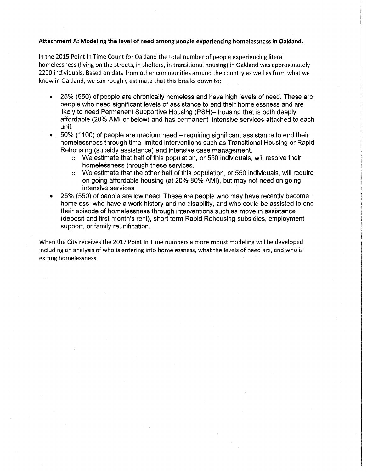#### Attachment A: Modeling the level of need among people experiencing homelessness in Oakland.

In the 2015 Point In Time Count for Oakland the total number of people experiencing literal homelessness (living on the streets, in shelters, in transitional housing) in Oakland was approximately 2200 individuals. Based on data from other communities around the country as well as from what we know in Oakland, we can roughly estimate that this breaks down to:

- 25% (550) of people are chronically homeless and have high levels of need. These are people who need significant levels of assistance to end their homelessness and are likely to need Permanent Supportive Housing (PSH)- housing that is both deeply affordable (20% AMI or below) and has permanent intensive services attached to each unit.
- $\bullet$  50% (1100) of people are medium need requiring significant assistance to end their homelessness through time limited interventions such as Transitional Housing or Rapid Rehousing (subsidy assistance) and intensive case management.
	- o We estimate that half of this population, or 550 individuals, will resolve their homelessness through these services,
	- o We estimate that the other half of this population, or 550 individuals, will require on going affordable housing (at 20%-80% AMI), but may not need on going intensive services
- 25% (550) of people are low need. These are people who may have recently become homeless, who have a work history and no disability, and who could be assisted to end their episode of homelessness through interventions such as move in assistance (deposit and first month's rent), short term Rapid Rehousing subsidies, employment support, or family reunification.

When the City receives the 2017 Point In Time numbers a more robust modeling will be developed including an analysis of who is entering into homelessness, what the levels of need are, and who is exiting homelessness.